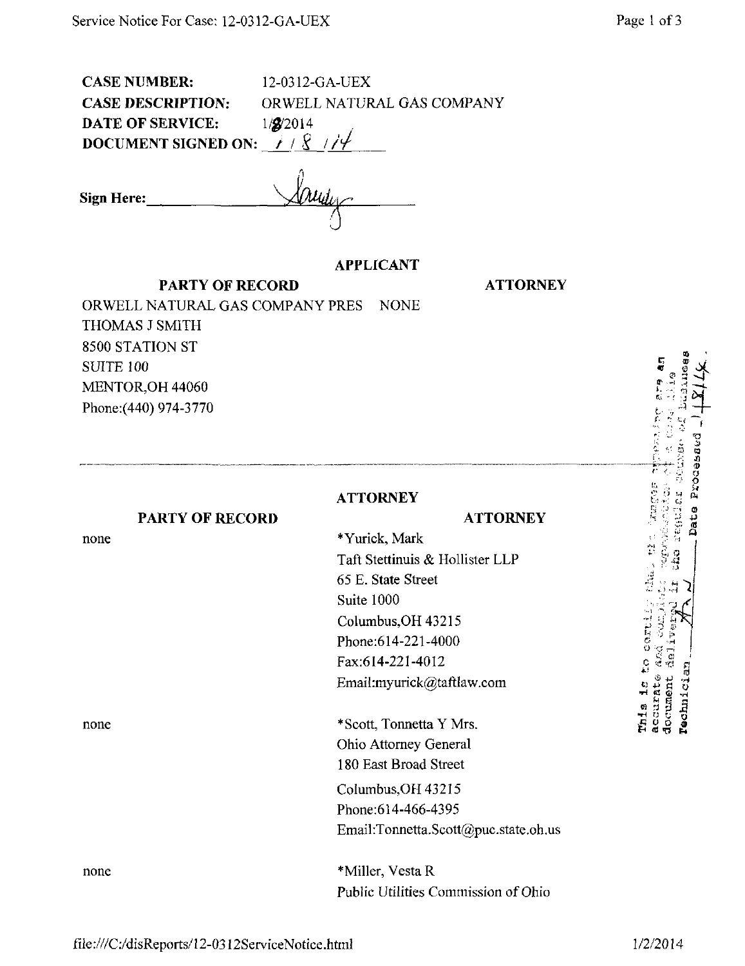CASE NUMBER: 12-0312-GA-UEX CASE DESCRIPTION: ORWELL NATURAL GAS COMPANY DATE OF SERVICE:  $1/\cancel{g}/2014$ DOCUMENT SIGNED ON:  $\neq$  /  $\frac{8}{3}$ 

Sign Here:

## APPLICANT

PARTY OF RECORD

**ATTORNEY** 

ORWELL NATURAL GAS COMPANY PRES NONE THOMAS J SMITH 8500 STATION ST SUITE 100 MENTOR,OH 44060 Phone:(440) 974-3770

## **ATTORNEY**

## **ATTORNEY**

## PARTY OF RECORD

none

none

\*Yurick, Mark Taft Stettinuis & Hollister LLP 65 E. State Street Suite 1000 Columbus,OH 43215 Phone:614-221-4000 Fax:614-221-4012 Email:myurick@taftlaw.com

\* Scott, Tonnetta Y Mrs. Ohio Attorney General 180 East Broad Street Columbus,OH 43215 Phone:614-466-4395 Email:[Tonnetta.Scott@puc.state.oh.us](mailto:Tonnetta.Scott@puc.state.oh.us) 

none \*Miller, Vesta R Public Utilities Commission of Ohio p "•• .-f ^ ^

 $\sigma$ SI at o

 $\bm{x}$  $\mathbf{u}$  $\ddot{}$ 

•J M :•> -- i

- ' -.1 iH  $\mathcal{A}$  .  $\mathcal{D}$  .  $\mathcal{D}$  $\alpha \rightarrow -i$ 

ق <u>ت ب</u> ج

C§^ § C3 +i « Q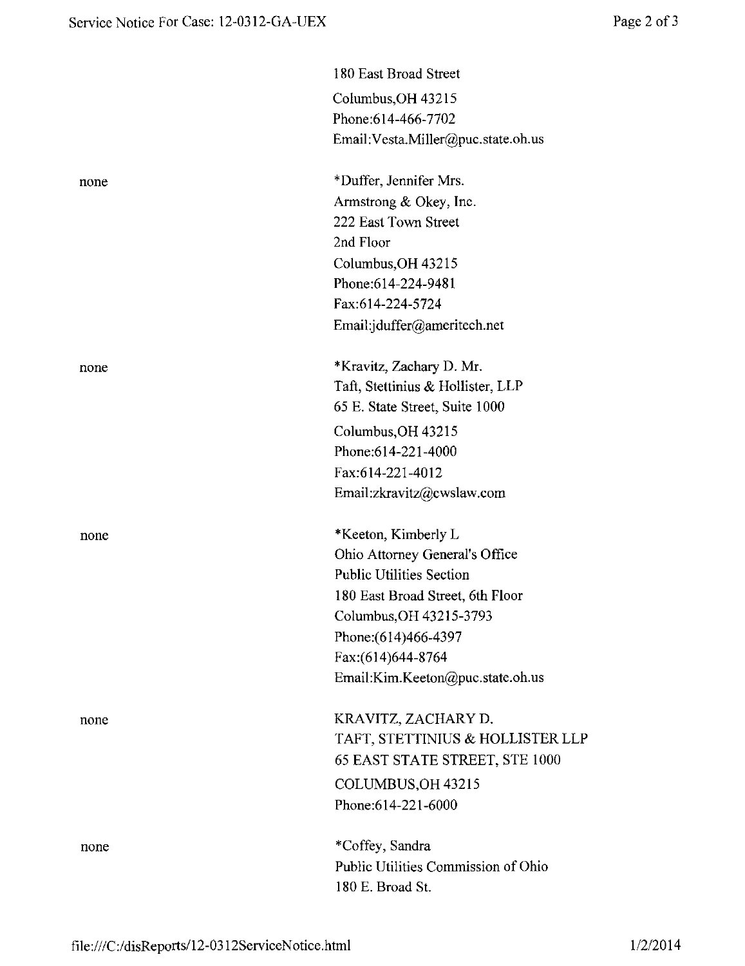|      | 180 East Broad Street               |
|------|-------------------------------------|
|      | Columbus, OH 43215                  |
|      | Phone:614-466-7702                  |
|      | Email: Vesta.Miller@puc.state.oh.us |
| none | *Duffer, Jennifer Mrs.              |
|      | Armstrong & Okey, Inc.              |
|      | 222 East Town Street                |
|      | 2nd Floor                           |
|      | Columbus, OH 43215                  |
|      | Phone: 614-224-9481                 |
|      | Fax:614-224-5724                    |
|      | Email:jduffer@ameritech.net         |
| none | *Kravitz, Zachary D. Mr.            |
|      | Taft, Stettinius & Hollister, LLP   |
|      | 65 E. State Street, Suite 1000      |
|      | Columbus, OH 43215                  |
|      | Phone:614-221-4000                  |
|      | Fax:614-221-4012                    |
|      | Email:zkravitz@cwslaw.com           |
| none | *Keeton, Kimberly L                 |
|      | Ohio Attorney General's Office      |
|      | <b>Public Utilities Section</b>     |
|      | 180 East Broad Street, 6th Floor    |
|      | Columbus, OH 43215-3793             |
|      | Phone: (614) 466-4397               |
|      | Fax:(614)644-8764                   |
|      | Email:Kim.Keeton@puc.state.oh.us    |
| none | KRAVITZ, ZACHARY D.                 |
|      | TAFT, STETTINIUS & HOLLISTER LLP    |
|      | 65 EAST STATE STREET, STE 1000      |
|      | COLUMBUS, OH 43215                  |
|      | Phone:614-221-6000                  |
| none | *Coffey, Sandra                     |
|      | Public Utilities Commission of Ohio |
|      | 180 E. Broad St.                    |